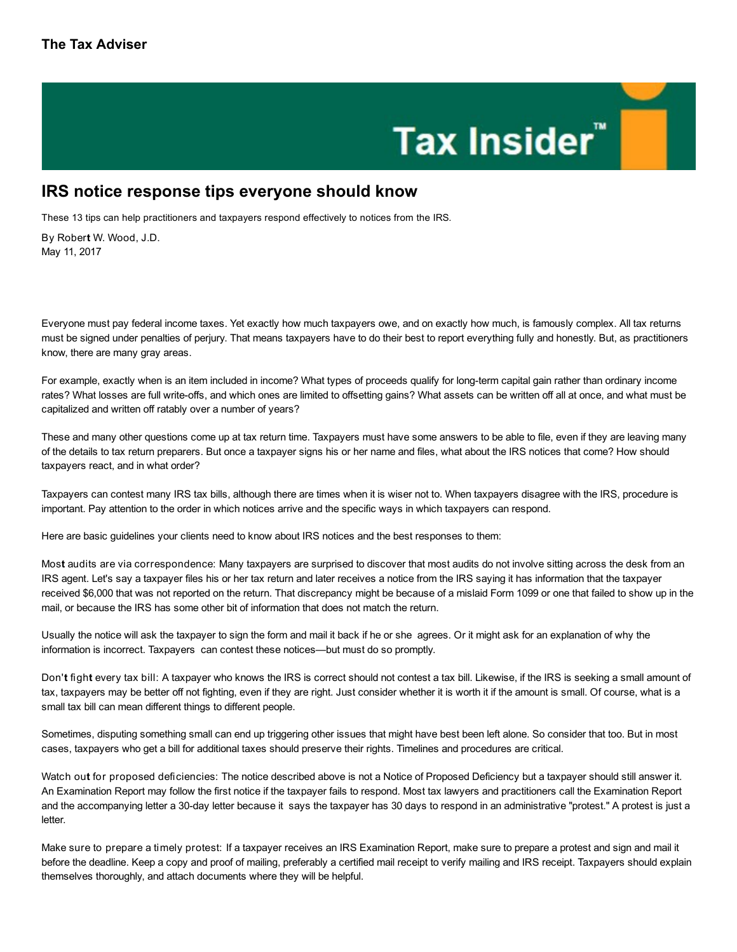## Tax Insider"

## IRS notice response tips everyone should know

These 13 tips can help practitioners and taxpayers respond effectively to notices from the IRS.

By Robert W. Wood, J.D. May 11, 2017

Everyone must pay federal income taxes. Yet exactly how much taxpayers owe, and on exactly how much, is famously complex. All tax returns must be signed under penalties of perjury. That means taxpayers have to do their best to report everything fully and honestly. But, as practitioners know, there are many gray areas.

For example, exactly when is an item included in income? What types of proceeds qualify for long-term capital gain rather than ordinary income rates? What losses are full write-offs, and which ones are limited to offsetting gains? What assets can be written off all at once, and what must be capitalized and written off ratably over a number of years?

These and many other questions come up at tax return time. Taxpayers must have some answers to be able to file, even if they are leaving many of the details to tax return preparers. But once a taxpayer signs his or her name and files, what about the IRS notices that come? How should taxpayers react, and in what order?

Taxpayers can contest many IRS tax bills, although there are times when it is wiser not to. When taxpayers disagree with the IRS, procedure is important. Pay attention to the order in which notices arrive and the specific ways in which taxpayers can respond.

Here are basic guidelines your clients need to know about IRS notices and the best responses to them:

Most audits are via correspondence: Many taxpayers are surprised to discover that most audits do not involve sitting across the desk from an IRS agent. Let's say a taxpayer files his or her tax return and later receives a notice from the IRS saying it has information that the taxpayer received \$6,000 that was not reported on the return. That discrepancy might be because of a mislaid Form 1099 or one that failed to show up in the mail, or because the IRS has some other bit of information that does not match the return.

Usually the notice will ask the taxpayer to sign the form and mail it back if he or she agrees. Or it might ask for an explanation of why the information is incorrect. Taxpayers can contest these notices—but must do so promptly.

Don't fight every tax bill: A taxpayer who knows the IRS is correct should not contest a tax bill. Likewise, if the IRS is seeking a small amount of tax, taxpayers may be better off not fighting, even if they are right. Just consider whether it is worth it if the amount is small. Of course, what is a small tax bill can mean different things to different people.

Sometimes, disputing something small can end up triggering other issues that might have best been left alone. So consider that too. But in most cases, taxpayers who get a bill for additional taxes should preserve their rights. Timelines and procedures are critical.

Watch out for proposed deficiencies: The notice described above is not a Notice of Proposed Deficiency but a taxpayer should still answer it. An Examination Report may follow the first notice if the taxpayer fails to respond. Most tax lawyers and practitioners call the Examination Report and the accompanying letter a 30-day letter because it says the taxpayer has 30 days to respond in an administrative "protest." A protest is just a letter.

Make sure to prepare a timely protest: If a taxpayer receives an IRS Examination Report, make sure to prepare a protest and sign and mail it before the deadline. Keep a copy and proof of mailing, preferably a certified mail receipt to verify mailing and IRS receipt. Taxpayers should explain themselves thoroughly, and attach documents where they will be helpful.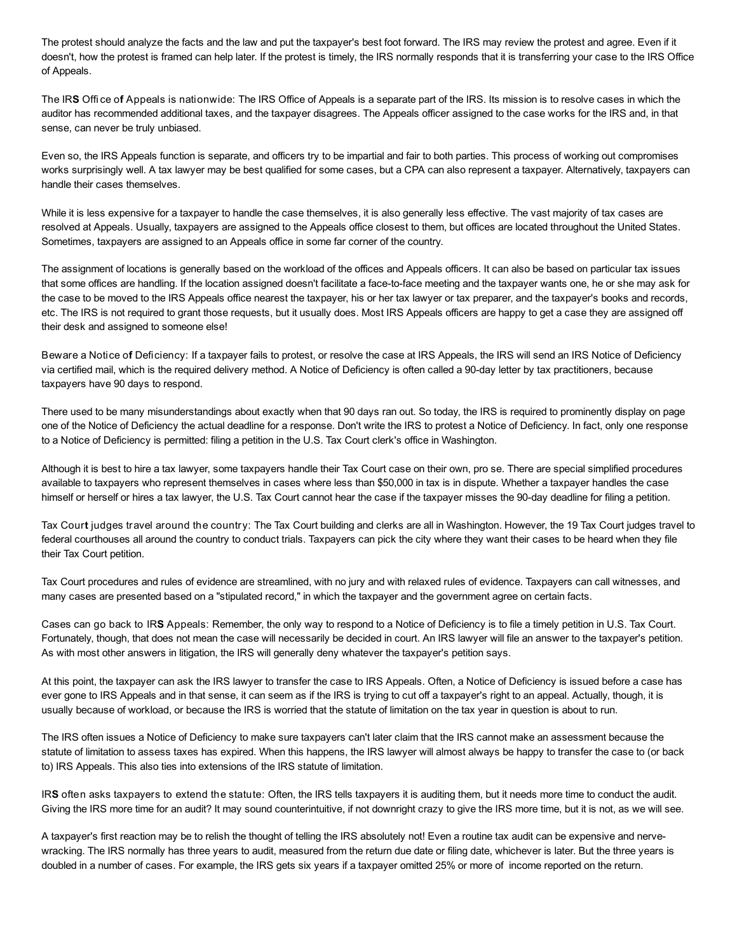The protest should analyze the facts and the law and put the taxpayer's best foot forward. The IRS may review the protest and agree. Even if it doesn't, how the protest is framed can help later. If the protest is timely, the IRS normally responds that it is transferring your case to the IRS Office of Appeals.

The IRS Office of Appeals is nationwide: The IRS Office of Appeals is a separate part of the IRS. Its mission is to resolve cases in which the auditor has recommended additional taxes, and the taxpayer disagrees. The Appeals officer assigned to the case works for the IRS and, in that sense, can never be truly unbiased.

Even so, the IRS Appeals function is separate, and officers try to be impartial and fair to both parties. This process of working out compromises works surprisingly well. A tax lawyer may be best qualified for some cases, but a CPA can also represent a taxpayer. Alternatively, taxpayers can handle their cases themselves.

While it is less expensive for a taxpayer to handle the case themselves, it is also generally less effective. The vast majority of tax cases are resolved at Appeals. Usually, taxpayers are assigned to the Appeals office closest to them, but offices are located throughout the United States. Sometimes, taxpayers are assigned to an Appeals office in some far corner of the country.

The assignment of locations is generally based on the workload of the offices and Appeals officers. It can also be based on particular tax issues that some offices are handling. If the location assigned doesn't facilitate a face-to-face meeting and the taxpayer wants one, he or she may ask for the case to be moved to the IRS Appeals office nearest the taxpayer, his or her tax lawyer or tax preparer, and the taxpayer's books and records, etc. The IRS is not required to grant those requests, but it usually does. Most IRS Appeals officers are happy to get a case they are assigned off their desk and assigned to someone else!

Beware a Notice of Deficiency: If a taxpayer fails to protest, or resolve the case at IRS Appeals, the IRS will send an IRS Notice of Deficiency via certified mail, which is the required delivery method. A Notice of Deficiency is often called a 90-day letter by tax practitioners, because taxpayers have 90 days to respond.

There used to be many misunderstandings about exactly when that 90 days ran out. So today, the IRS is required to prominently display on page one of the Notice of Deficiency the actual deadline for a response. Don't write the IRS to protest a Notice of Deficiency. In fact, only one response to a Notice of Deficiency is permitted: filing a petition in the U.S. Tax Court clerk's office in Washington.

Although it is best to hire a tax lawyer, some taxpayers handle their Tax Court case on their own, pro se. There are special simplified procedures available to taxpayers who represent themselves in cases where less than \$50,000 in tax is in dispute. Whether a taxpayer handles the case himself or herself or hires a tax lawyer, the U.S. Tax Court cannot hear the case if the taxpayer misses the 90-day deadline for filing a petition.

Tax Court judges travel around the country: The Tax Court building and clerks are all in Washington. However, the 19 Tax Court judges travel to federal courthouses all around the country to conduct trials. Taxpayers can pick the city where they want their cases to be heard when they file their Tax Court petition.

Tax Court procedures and rules of evidence are streamlined, with no jury and with relaxed rules of evidence. Taxpayers can call witnesses, and many cases are presented based on a "stipulated record," in which the taxpayer and the government agree on certain facts.

Cases can go back to IRS Appeals: Remember, the only way to respond to a Notice of Deficiency is to file a timely petition in U.S. Tax Court. Fortunately, though, that does not mean the case will necessarily be decided in court. An IRS lawyer will file an answer to the taxpayer's petition. As with most other answers in litigation, the IRS will generally deny whatever the taxpayer's petition says.

At this point, the taxpayer can ask the IRS lawyer to transfer the case to IRS Appeals. Often, a Notice of Deficiency is issued before a case has ever gone to IRS Appeals and in that sense, it can seem as if the IRS is trying to cut off a taxpayer's right to an appeal. Actually, though, it is usually because of workload, or because the IRS is worried that the statute of limitation on the tax year in question is about to run.

The IRS often issues a Notice of Deficiency to make sure taxpayers can't later claim that the IRS cannot make an assessment because the statute of limitation to assess taxes has expired. When this happens, the IRS lawyer will almost always be happy to transfer the case to (or back to) IRS Appeals. This also ties into extensions of the IRS statute of limitation.

IRS often asks taxpayers to extend the statute: Often, the IRS tells taxpayers it is auditing them, but it needs more time to conduct the audit. Giving the IRS more time for an audit? It may sound counterintuitive, if not downright crazy to give the IRS more time, but it is not, as we will see.

A taxpayer's first reaction may be to relish the thought of telling the IRS absolutely not! Even a routine tax audit can be expensive and nervewracking. The IRS normally has three years to audit, measured from the return due date or filing date, whichever is later. But the three years is doubled in a number of cases. For example, the IRS gets six years if a taxpayer omitted 25% or more of income reported on the return.